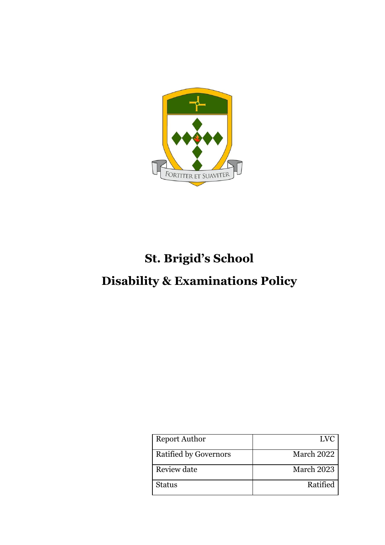

# **St. Brigid's School**

## **Disability & Examinations Policy**

| <b>Report Author</b>         | LVC        |
|------------------------------|------------|
| <b>Ratified by Governors</b> | March 2022 |
| Review date                  | March 2023 |
| <b>Status</b>                | Ratified   |